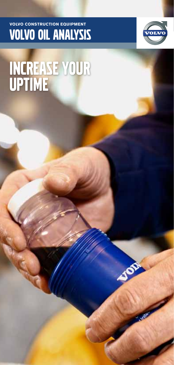### **VOLVO CONSTRUCTION EQUIPMENT VOLVO OIL ANALYSIS**



# INCREASE YOUR<br>UPTIME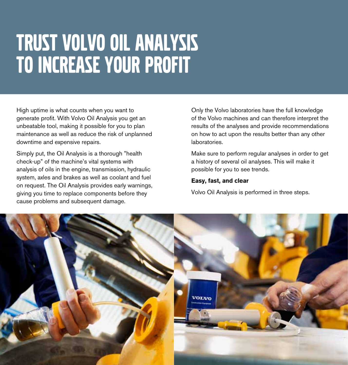## TRUST VOLVO OIL ANALYSIS TO INCREASE YOUR PROFIT

High uptime is what counts when you want to generate profit. With Volvo Oil Analysis you get an unbeatable tool, making it possible for you to plan maintenance as well as reduce the risk of unplanned downtime and expensive repairs.

Simply put, the Oil Analysis is a thorough "health check-up" of the machine's vital systems with analysis of oils in the engine, transmission, hydraulic system, axles and brakes as well as coolant and fuel on request. The Oil Analysis provides early warnings, giving you time to replace components before they cause problems and subsequent damage.

Only the Volvo laboratories have the full knowledge of the Volvo machines and can therefore interpret the results of the analyses and provide recommendations on how to act upon the results better than any other laboratories.

Make sure to perform regular analyses in order to get a history of several oil analyses. This will make it possible for you to see trends.

#### **Easy, fast, and clear**

Volvo Oil Analysis is performed in three steps.

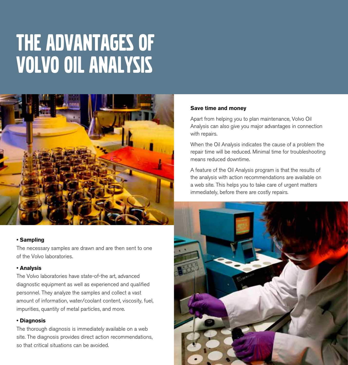## the advantages of volvo oil analysis



#### **• Sampling**

The necessary samples are drawn and are then sent to one of the Volvo laboratories.

#### **• Analysis**

The Volvo laboratories have state-of-the art, advanced diagnostic equipment as well as experienced and qualified personnel. They analyze the samples and collect a vast amount of information, water/coolant content, viscosity, fuel, impurities, quantity of metal particles, and more.

#### **• Diagnosis**

The thorough diagnosis is immediately available on a web site. The diagnosis provides direct action recommendations, so that critical situations can be avoided.

#### **Save time and money**

Apart from helping you to plan maintenance, Volvo Oil Analysis can also give you major advantages in connection with repairs.

When the Oil Analysis indicates the cause of a problem the repair time will be reduced. Minimal time for troubleshooting means reduced downtime.

A feature of the Oil Analysis program is that the results of the analysis with action recommendations are available on a web site. This helps you to take care of urgent matters immediately, before there are costly repairs.